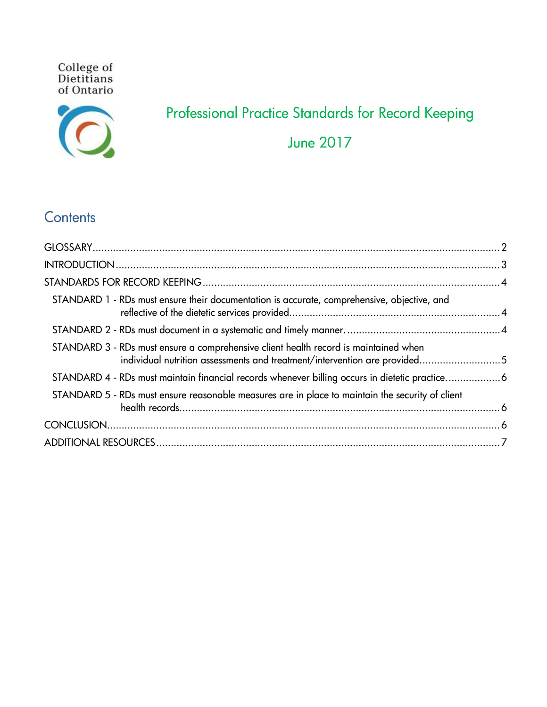**College of<br>Dietitians** of Ontario



# Professional Practice Standards for Record Keeping June 2017

## **Contents**

<span id="page-0-0"></span>

| STANDARD 1 - RDs must ensure their documentation is accurate, comprehensive, objective, and                                                                       |  |
|-------------------------------------------------------------------------------------------------------------------------------------------------------------------|--|
|                                                                                                                                                                   |  |
| STANDARD 3 - RDs must ensure a comprehensive client health record is maintained when<br>individual nutrition assessments and treatment/intervention are provided5 |  |
| STANDARD 4 - RDs must maintain financial records whenever billing occurs in dietetic practice6                                                                    |  |
| STANDARD 5 - RDs must ensure reasonable measures are in place to maintain the security of client                                                                  |  |
|                                                                                                                                                                   |  |
|                                                                                                                                                                   |  |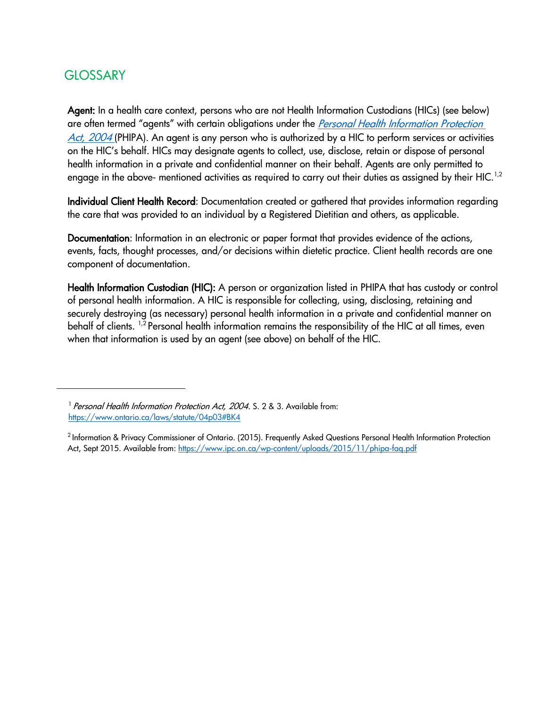## **GLOSSARY**

Agent: In a health care context, persons who are not Health Information Custodians (HICs) (see below) are often termed "agents" with certain obligations under the *Personal Health Information Protection* [Act, 2004](https://www.ontario.ca/laws/statute/04p03) (PHIPA). An agent is any person who is authorized by a HIC to perform services or activities on the HIC's behalf. HICs may designate agents to collect, use, disclose, retain or dispose of personal health information in a private and confidential manner on their behalf. Agents are only permitted to engage in the above- mentioned activities as required to carry out their duties as assigned by their HIC.<sup>1,[2](#page-1-1)</sup>

Individual Client Health Record: Documentation created or gathered that provides information regarding the care that was provided to an individual by a Registered Dietitian and others, as applicable.

Documentation: Information in an electronic or paper format that provides evidence of the actions, events, facts, thought processes, and/or decisions within dietetic practice. Client health records are one component of documentation.

Health Information Custodian (HIC): A person or organization listed in PHIPA that has custody or control of personal health information. A HIC is responsible for collecting, using, disclosing, retaining and securely destroying (as necessary) personal health information in a private and confidential manner on behalf of clients. <sup>1,2</sup> Personal health information remains the responsibility of the HIC at all times, even when that information is used by an agent (see above) on behalf of the HIC.

<span id="page-1-0"></span><sup>&</sup>lt;sup>1</sup> Personal Health Information Protection Act, 2004. S. 2 & 3. Available from: <https://www.ontario.ca/laws/statute/04p03#BK4>

<span id="page-1-1"></span><sup>&</sup>lt;sup>2</sup> Information & Privacy Commissioner of Ontario. (2015). Frequently Asked Questions Personal Health Information Protection Act, Sept 2015. Available from[: https://www.ipc.on.ca/wp-content/uploads/2015/11/phipa-faq.pdf](https://www.ipc.on.ca/wp-content/uploads/2015/11/phipa-faq.pdf)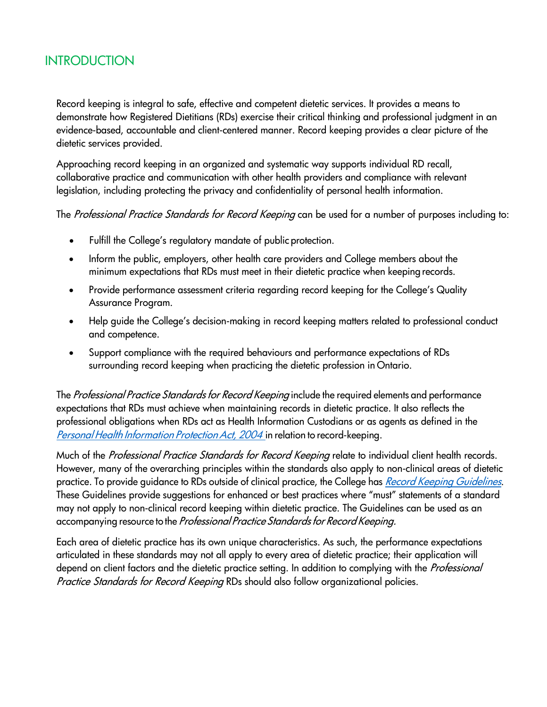### <span id="page-2-0"></span>INTRODUCTION

Record keeping is integral to safe, effective and competent dietetic services. It provides a means to demonstrate how Registered Dietitians (RDs) exercise their critical thinking and professional judgment in an evidence-based, accountable and client-centered manner. Record keeping provides a clear picture of the dietetic services provided.

Approaching record keeping in an organized and systematic way supports individual RD recall, collaborative practice and communication with other health providers and compliance with relevant legislation, including protecting the privacy and confidentiality of personal health information.

The Professional Practice Standards for Record Keeping can be used for a number of purposes including to:

- Fulfill the College's regulatory mandate of public protection.
- Inform the public, employers, other health care providers and College members about the minimum expectations that RDs must meet in their dietetic practice when keeping records.
- Provide performance assessment criteria regarding record keeping for the College's Quality Assurance Program.
- Help guide the College's decision-making in record keeping matters related to professional conduct and competence.
- Support compliance with the required behaviours and performance expectations of RDs surrounding record keeping when practicing the dietetic profession in Ontario.

The Professional Practice Standards for Record Keeping include the required elements and performance expectations that RDs must achieve when maintaining records in dietetic practice. It also reflects the professional obligations when RDs act as Health Information Custodians or as agents as defined in the Personal Health Information Protection Act, 2004 in relation to record-keeping.

Much of the Professional Practice Standards for Record Keeping relate to individual client health records. However, many of the overarching principles within the standards also apply to non-clinical areas of dietetic practice. To provide quidance to RDs outside of clinical practice, the College has Record Keeping [Guidelines](http://www.collegeofdietitians.org/Resources/Record-Keeping/Record-Keeping-Guidelines-(2014).aspx). These Guidelines provide suggestions for enhanced or best practices where "must" statements of a standard may not apply to non-clinical record keeping within dietetic practice. The Guidelines can be used as an accompanying resource to the Professional Practice Standards for Record Keeping.

Each area of dietetic practice has its own unique characteristics. As such, the performance expectations articulated in these standards may not all apply to every area of dietetic practice; their application will depend on client factors and the dietetic practice setting. In addition to complying with the *Professional* Practice Standards for Record Keeping RDs should also follow organizational policies.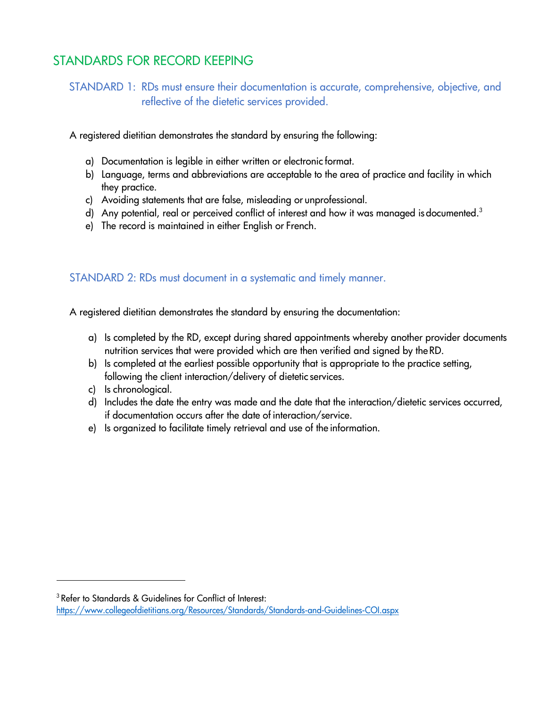## <span id="page-3-1"></span><span id="page-3-0"></span>STANDARDS FOR RECORD KEEPING

STANDARD 1: RDs must ensure their documentation is accurate, comprehensive, objective, and reflective of the dietetic services provided.

A registered dietitian demonstrates the standard by ensuring the following:

- a) Documentation is legible in either written or electronic format.
- b) Language, terms and abbreviations are acceptable to the area of practice and facility in which they practice.
- c) Avoiding statements that are false, misleading or unprofessional.
- d) Any potential, real or perceived conflict of interest and how it was managed is documented.<sup>3</sup>
- e) The record is maintained in either English or French.

#### <span id="page-3-2"></span>STANDARD 2: RDs must document in a systematic and timely manner.

A registered dietitian demonstrates the standard by ensuring the documentation:

- a) Is completed by the RD, except during shared appointments whereby another provider documents nutrition services that were provided which are then verified and signed by theRD.
- b) Is completed at the earliest possible opportunity that is appropriate to the practice setting, following the client interaction/delivery of dietetic services.
- c) Is chronological.
- d) Includes the date the entry was made and the date that the interaction/dietetic services occurred, if documentation occurs after the date of interaction/service.
- e) Is organized to facilitate timely retrieval and use of the information.

<span id="page-3-3"></span>3 Refer to Standards & Guidelines for Conflict of Interest:

<https://www.collegeofdietitians.org/Resources/Standards/Standards-and-Guidelines-COI.aspx>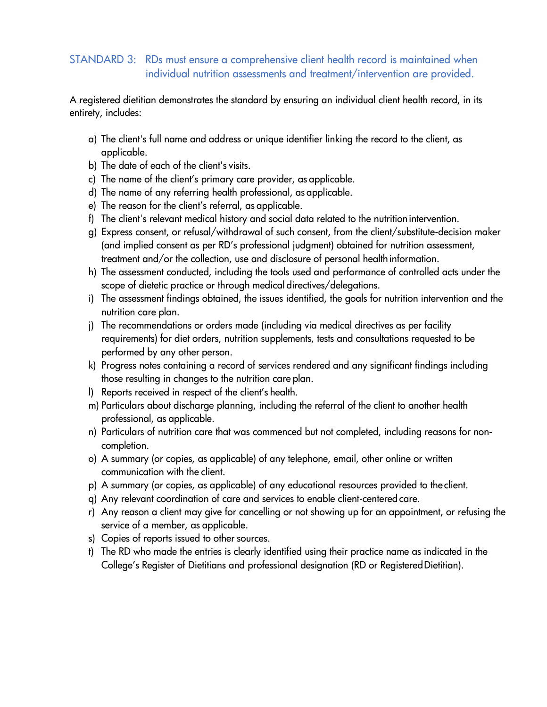#### <span id="page-4-0"></span>STANDARD 3: RDs must ensure a comprehensive client health record is maintained when individual nutrition assessments and treatment/intervention are provided.

A registered dietitian demonstrates the standard by ensuring an individual client health record, in its entirety, includes:

- a) The client's full name and address or unique identifier linking the record to the client, as applicable.
- b) The date of each of the client's visits.
- c) The name of the client's primary care provider, as applicable.
- d) The name of any referring health professional, as applicable.
- e) The reason for the client's referral, as applicable.
- f) The client's relevant medical history and social data related to the nutritionintervention.
- g) Express consent, or refusal/withdrawal of such consent, from the client/substitute-decision maker (and implied consent as per RD's professional judgment) obtained for nutrition assessment, treatment and/or the collection, use and disclosure of personal health information.
- h) The assessment conducted, including the tools used and performance of controlled acts under the scope of dietetic practice or through medical directives/delegations.
- i) The assessment findings obtained, the issues identified, the goals for nutrition intervention and the nutrition care plan.
- j) The recommendations or orders made (including via medical directives as per facility requirements) for diet orders, nutrition supplements, tests and consultations requested to be performed by any other person.
- k) Progress notes containing a record of services rendered and any significant findings including those resulting in changes to the nutrition care plan.
- l) Reports received in respect of the client's health.
- m) Particulars about discharge planning, including the referral of the client to another health professional, as applicable.
- n) Particulars of nutrition care that was commenced but not completed, including reasons for noncompletion.
- o) A summary (or copies, as applicable) of any telephone, email, other online or written communication with the client.
- p) A summary (or copies, as applicable) of any educational resources provided to the client.
- q) Any relevant coordination of care and services to enable client-centered care.
- r) Any reason a client may give for cancelling or not showing up for an appointment, or refusing the service of a member, as applicable.
- s) Copies of reports issued to other sources.
- t) The RD who made the entries is clearly identified using their practice name as indicated in the College's Register of Dietitians and professional designation (RD or RegisteredDietitian).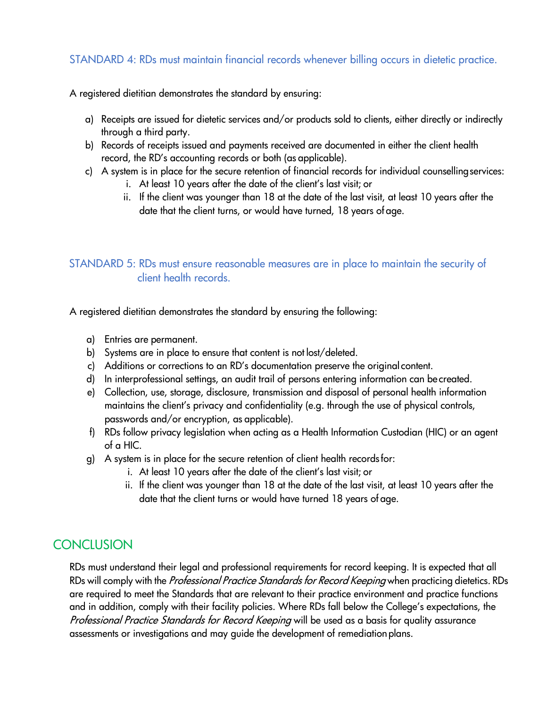#### <span id="page-5-0"></span>STANDARD 4: RDs must maintain financial records whenever billing occurs in dietetic practice.

A registered dietitian demonstrates the standard by ensuring:

- a) Receipts are issued for dietetic services and/or products sold to clients, either directly or indirectly through a third party.
- b) Records of receipts issued and payments received are documented in either the client health record, the RD's accounting records or both (as applicable).
- c) A system is in place for the secure retention of financial records for individual counsellingservices:
	- i. At least 10 years after the date of the client's last visit; or
	- ii. If the client was younger than 18 at the date of the last visit, at least 10 years after the date that the client turns, or would have turned, 18 years of age.

#### <span id="page-5-1"></span>STANDARD 5: RDs must ensure reasonable measures are in place to maintain the security of client health records.

A registered dietitian demonstrates the standard by ensuring the following:

- a) Entries are permanent.
- b) Systems are in place to ensure that content is not lost/deleted.
- c) Additions or corrections to an RD's documentation preserve the original content.
- d) In interprofessional settings, an audit trail of persons entering information can be created.
- e) Collection, use, storage, disclosure, transmission and disposal of personal health information maintains the client's privacy and confidentiality (e.g. through the use of physical controls, passwords and/or encryption, as applicable).
- f) RDs follow privacy legislation when acting as a Health Information Custodian (HIC) or an agent of a HIC.
- g) A system is in place for the secure retention of client health recordsfor:
	- i. At least 10 years after the date of the client's last visit; or
	- ii. If the client was younger than 18 at the date of the last visit, at least 10 years after the date that the client turns or would have turned 18 years of age.

## <span id="page-5-2"></span>**CONCLUSION**

RDs must understand their legal and professional requirements for record keeping. It is expected that all RDs will comply with the Professional Practice Standards for Record Keeping when practicing dietetics. RDs are required to meet the Standards that are relevant to their practice environment and practice functions and in addition, comply with their facility policies. Where RDs fall below the College's expectations, the Professional Practice Standards for Record Keeping will be used as a basis for quality assurance assessments or investigations and may guide the development of remediationplans.